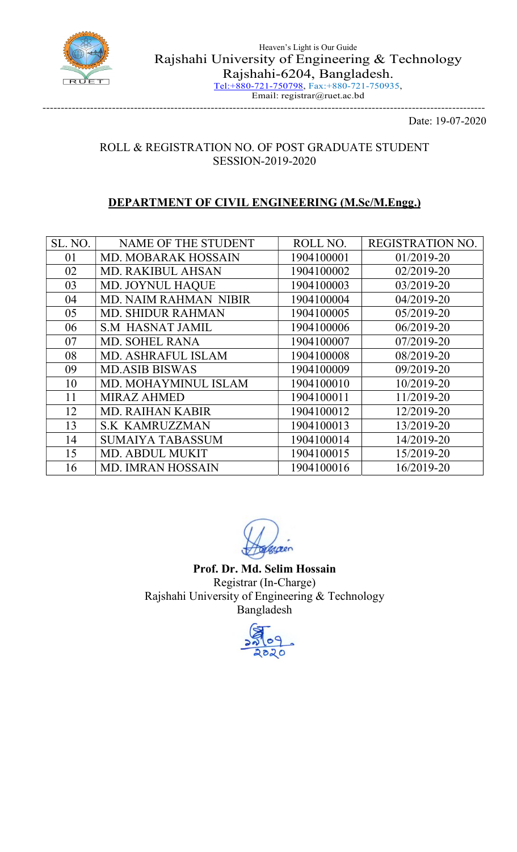

Tel:+880-721-750798, Fax:+880-721-750935, Email: registrar@ruet.ac.bd -------------------------------------------------------------------------------------------------------------------------

Date: 19-07-2020

## ROLL & REGISTRATION NO. OF POST GRADUATE STUDENT SESSION-2019-2020

## DEPARTMENT OF CIVIL ENGINEERING (M.Sc/M.Engg.)

| SL. NO. | NAME OF THE STUDENT          | ROLL NO.   | REGISTRATION NO. |
|---------|------------------------------|------------|------------------|
| 01      | <b>MD. MOBARAK HOSSAIN</b>   | 1904100001 | 01/2019-20       |
| 02      | <b>MD. RAKIBUL AHSAN</b>     | 1904100002 | $02/2019 - 20$   |
| 03      | MD. JOYNUL HAQUE             | 1904100003 | 03/2019-20       |
| 04      | <b>MD. NAIM RAHMAN NIBIR</b> | 1904100004 | 04/2019-20       |
| 05      | <b>MD. SHIDUR RAHMAN</b>     | 1904100005 | 05/2019-20       |
| 06      | <b>S.M HASNAT JAMIL</b>      | 1904100006 | 06/2019-20       |
| 07      | <b>MD. SOHEL RANA</b>        | 1904100007 | 07/2019-20       |
| 08      | <b>MD. ASHRAFUL ISLAM</b>    | 1904100008 | 08/2019-20       |
| 09      | <b>MD.ASIB BISWAS</b>        | 1904100009 | 09/2019-20       |
| 10      | MD. MOHAYMINUL ISLAM         | 1904100010 | 10/2019-20       |
| 11      | <b>MIRAZ AHMED</b>           | 1904100011 | 11/2019-20       |
| 12      | <b>MD. RAIHAN KABIR</b>      | 1904100012 | 12/2019-20       |
| 13      | <b>S.K KAMRUZZMAN</b>        | 1904100013 | 13/2019-20       |
| 14      | <b>SUMAIYA TABASSUM</b>      | 1904100014 | 14/2019-20       |
| 15      | <b>MD. ABDUL MUKIT</b>       | 1904100015 | 15/2019-20       |
| 16      | <b>MD. IMRAN HOSSAIN</b>     | 1904100016 | 16/2019-20       |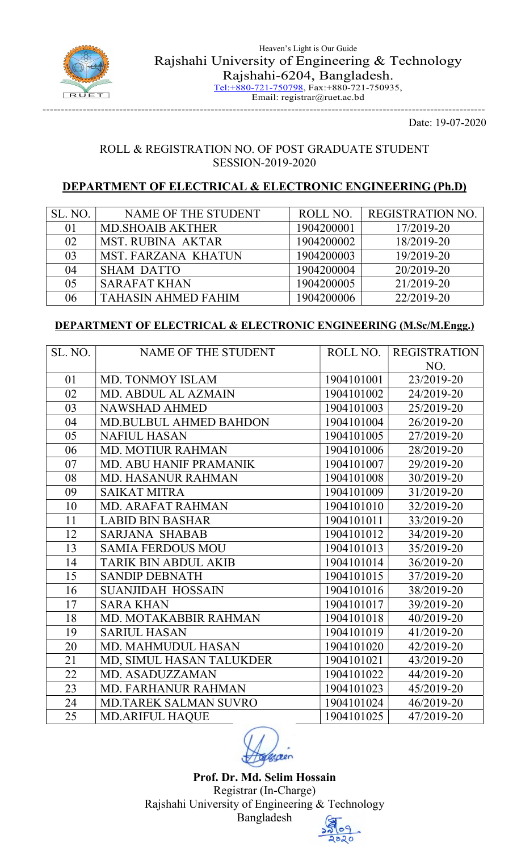

Email: registrar@ruet.ac.bd -------------------------------------------------------------------------------------------------------------------------

Date: 19-07-2020

#### ROLL & REGISTRATION NO. OF POST GRADUATE STUDENT SESSION-2019-2020

## DEPARTMENT OF ELECTRICAL & ELECTRONIC ENGINEERING (Ph.D)

| SL. NO. | NAME OF THE STUDENT        | ROLL NO.   | <b>REGISTRATION NO.</b> |
|---------|----------------------------|------------|-------------------------|
| 01      | <b>MD.SHOAIB AKTHER</b>    | 1904200001 | 17/2019-20              |
| 02      | <b>MST. RUBINA AKTAR</b>   | 1904200002 | 18/2019-20              |
| 03      | <b>MST. FARZANA KHATUN</b> | 1904200003 | 19/2019-20              |
| 04      | <b>SHAM DATTO</b>          | 1904200004 | 20/2019-20              |
| 05      | <b>SARAFAT KHAN</b>        | 1904200005 | 21/2019-20              |
| 06      | <b>TAHASIN AHMED FAHIM</b> | 1904200006 | 22/2019-20              |

#### DEPARTMENT OF ELECTRICAL & ELECTRONIC ENGINEERING (M.Sc/M.Engg.)

| SL. NO. | NAME OF THE STUDENT           | ROLL NO.   | <b>REGISTRATION</b> |
|---------|-------------------------------|------------|---------------------|
|         |                               |            | NO.                 |
| 01      | MD. TONMOY ISLAM              | 1904101001 | 23/2019-20          |
| 02      | MD. ABDUL AL AZMAIN           | 1904101002 | 24/2019-20          |
| 03      | <b>NAWSHAD AHMED</b>          | 1904101003 | 25/2019-20          |
| 04      | <b>MD.BULBUL AHMED BAHDON</b> | 1904101004 | 26/2019-20          |
| 05      | <b>NAFIUL HASAN</b>           | 1904101005 | 27/2019-20          |
| 06      | <b>MD. MOTIUR RAHMAN</b>      | 1904101006 | 28/2019-20          |
| 07      | MD. ABU HANIF PRAMANIK        | 1904101007 | 29/2019-20          |
| 08      | <b>MD. HASANUR RAHMAN</b>     | 1904101008 | 30/2019-20          |
| 09      | <b>SAIKAT MITRA</b>           | 1904101009 | 31/2019-20          |
| 10      | <b>MD. ARAFAT RAHMAN</b>      | 1904101010 | 32/2019-20          |
| 11      | <b>LABID BIN BASHAR</b>       | 1904101011 | 33/2019-20          |
| 12      | <b>SARJANA SHABAB</b>         | 1904101012 | 34/2019-20          |
| 13      | <b>SAMIA FERDOUS MOU</b>      | 1904101013 | 35/2019-20          |
| 14      | <b>TARIK BIN ABDUL AKIB</b>   | 1904101014 | 36/2019-20          |
| 15      | <b>SANDIP DEBNATH</b>         | 1904101015 | 37/2019-20          |
| 16      | <b>SUANJIDAH HOSSAIN</b>      | 1904101016 | 38/2019-20          |
| 17      | <b>SARA KHAN</b>              | 1904101017 | 39/2019-20          |
| 18      | MD. MOTAKABBIR RAHMAN         | 1904101018 | 40/2019-20          |
| 19      | <b>SARIUL HASAN</b>           | 1904101019 | 41/2019-20          |
| 20      | <b>MD. MAHMUDUL HASAN</b>     | 1904101020 | 42/2019-20          |
| 21      | MD, SIMUL HASAN TALUKDER      | 1904101021 | 43/2019-20          |
| 22      | MD. ASADUZZAMAN               | 1904101022 | 44/2019-20          |
| 23      | <b>MD. FARHANUR RAHMAN</b>    | 1904101023 | 45/2019-20          |
| 24      | <b>MD.TAREK SALMAN SUVRO</b>  | 1904101024 | 46/2019-20          |
| 25      | <b>MD.ARIFUL HAOUE</b>        | 1904101025 | 47/2019-20          |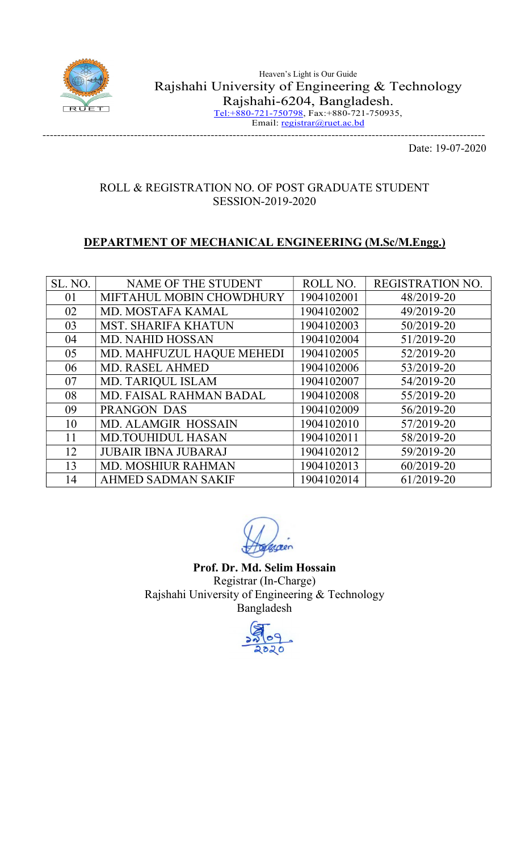

-------------------------------------------------------------------------------------------------------------------------

Date: 19-07-2020

#### ROLL & REGISTRATION NO. OF POST GRADUATE STUDENT SESSION-2019-2020

## DEPARTMENT OF MECHANICAL ENGINEERING (M.Sc/M.Engg.)

| SL. NO. | NAME OF THE STUDENT        | ROLL NO.   | REGISTRATION NO. |
|---------|----------------------------|------------|------------------|
| 01      | MIFTAHUL MOBIN CHOWDHURY   | 1904102001 | 48/2019-20       |
| 02      | <b>MD. MOSTAFA KAMAL</b>   | 1904102002 | 49/2019-20       |
| 03      | <b>MST. SHARIFA KHATUN</b> | 1904102003 | 50/2019-20       |
| 04      | <b>MD. NAHID HOSSAN</b>    | 1904102004 | 51/2019-20       |
| 05      | MD. MAHFUZUL HAQUE MEHEDI  | 1904102005 | 52/2019-20       |
| 06      | <b>MD. RASEL AHMED</b>     | 1904102006 | 53/2019-20       |
| 07      | <b>MD. TARIQUL ISLAM</b>   | 1904102007 | 54/2019-20       |
| 08      | MD. FAISAL RAHMAN BADAL    | 1904102008 | 55/2019-20       |
| 09      | <b>PRANGON DAS</b>         | 1904102009 | 56/2019-20       |
| 10      | <b>MD. ALAMGIR HOSSAIN</b> | 1904102010 | 57/2019-20       |
| 11      | <b>MD.TOUHIDUL HASAN</b>   | 1904102011 | 58/2019-20       |
| 12      | <b>JUBAIR IBNA JUBARAJ</b> | 1904102012 | 59/2019-20       |
| 13      | <b>MD. MOSHIUR RAHMAN</b>  | 1904102013 | 60/2019-20       |
| 14      | <b>AHMED SADMAN SAKIF</b>  | 1904102014 | 61/2019-20       |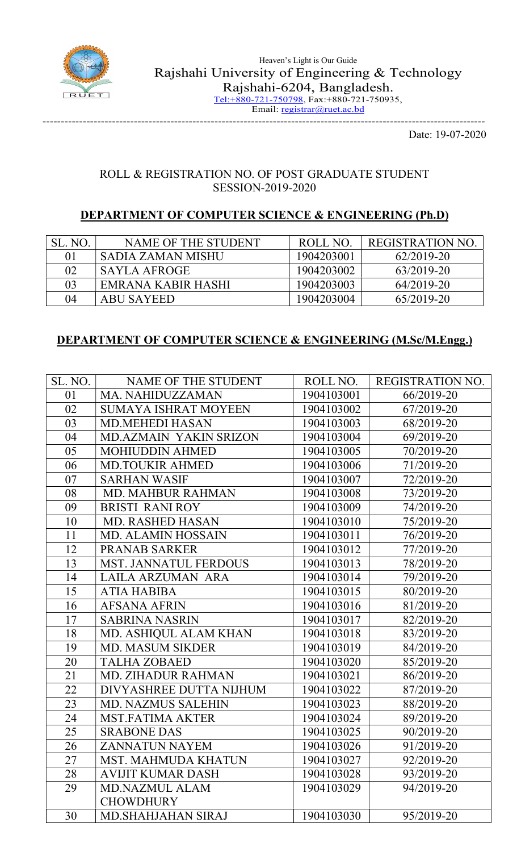

### ROLL & REGISTRATION NO. OF POST GRADUATE STUDENT SESSION-2019-2020

## DEPARTMENT OF COMPUTER SCIENCE & ENGINEERING (Ph.D)

| SL. NO. | NAME OF THE STUDENT | ROLL NO.   | REGISTRATION NO. |
|---------|---------------------|------------|------------------|
| 01      | SADIA ZAMAN MISHU   | 1904203001 | 62/2019-20       |
| 02      | SAYLA AFROGE        | 1904203002 | 63/2019-20       |
| 03      | EMRANA KABIR HASHI  | 1904203003 | 64/2019-20       |
| 04      | <b>ABU SAYEED</b>   | 1904203004 | 65/2019-20       |

### DEPARTMENT OF COMPUTER SCIENCE & ENGINEERING (M.Sc/M.Engg.)

| SL. NO. | NAME OF THE STUDENT          | ROLL NO.   | REGISTRATION NO. |
|---------|------------------------------|------------|------------------|
| 01      | MA. NAHIDUZZAMAN             | 1904103001 | 66/2019-20       |
| 02      | <b>SUMAYA ISHRAT MOYEEN</b>  | 1904103002 | 67/2019-20       |
| 03      | <b>MD.MEHEDI HASAN</b>       | 1904103003 | 68/2019-20       |
| 04      | MD.AZMAIN YAKIN SRIZON       | 1904103004 | 69/2019-20       |
| 05      | <b>MOHIUDDIN AHMED</b>       | 1904103005 | 70/2019-20       |
| 06      | <b>MD.TOUKIR AHMED</b>       | 1904103006 | 71/2019-20       |
| 07      | <b>SARHAN WASIF</b>          | 1904103007 | 72/2019-20       |
| 08      | <b>MD. MAHBUR RAHMAN</b>     | 1904103008 | 73/2019-20       |
| 09      | <b>BRISTI RANI ROY</b>       | 1904103009 | 74/2019-20       |
| 10      | <b>MD. RASHED HASAN</b>      | 1904103010 | 75/2019-20       |
| 11      | <b>MD. ALAMIN HOSSAIN</b>    | 1904103011 | 76/2019-20       |
| 12      | <b>PRANAB SARKER</b>         | 1904103012 | 77/2019-20       |
| 13      | <b>MST. JANNATUL FERDOUS</b> | 1904103013 | 78/2019-20       |
| 14      | LAILA ARZUMAN ARA            | 1904103014 | 79/2019-20       |
| 15      | <b>ATIA HABIBA</b>           | 1904103015 | 80/2019-20       |
| 16      | <b>AFSANA AFRIN</b>          | 1904103016 | 81/2019-20       |
| 17      | <b>SABRINA NASRIN</b>        | 1904103017 | 82/2019-20       |
| 18      | MD. ASHIQUL ALAM KHAN        | 1904103018 | 83/2019-20       |
| 19      | <b>MD. MASUM SIKDER</b>      | 1904103019 | 84/2019-20       |
| 20      | <b>TALHA ZOBAED</b>          | 1904103020 | 85/2019-20       |
| 21      | MD. ZIHADUR RAHMAN           | 1904103021 | 86/2019-20       |
| 22      | DIVYASHREE DUTTA NIJHUM      | 1904103022 | 87/2019-20       |
| 23      | MD. NAZMUS SALEHIN           | 1904103023 | 88/2019-20       |
| 24      | <b>MST.FATIMA AKTER</b>      | 1904103024 | 89/2019-20       |
| 25      | <b>SRABONE DAS</b>           | 1904103025 | 90/2019-20       |
| 26      | <b>ZANNATUN NAYEM</b>        | 1904103026 | 91/2019-20       |
| 27      | <b>MST. MAHMUDA KHATUN</b>   | 1904103027 | 92/2019-20       |
| 28      | <b>AVIJIT KUMAR DASH</b>     | 1904103028 | 93/2019-20       |
| 29      | <b>MD.NAZMUL ALAM</b>        | 1904103029 | 94/2019-20       |
|         | <b>CHOWDHURY</b>             |            |                  |
| 30      | <b>MD.SHAHJAHAN SIRAJ</b>    | 1904103030 | 95/2019-20       |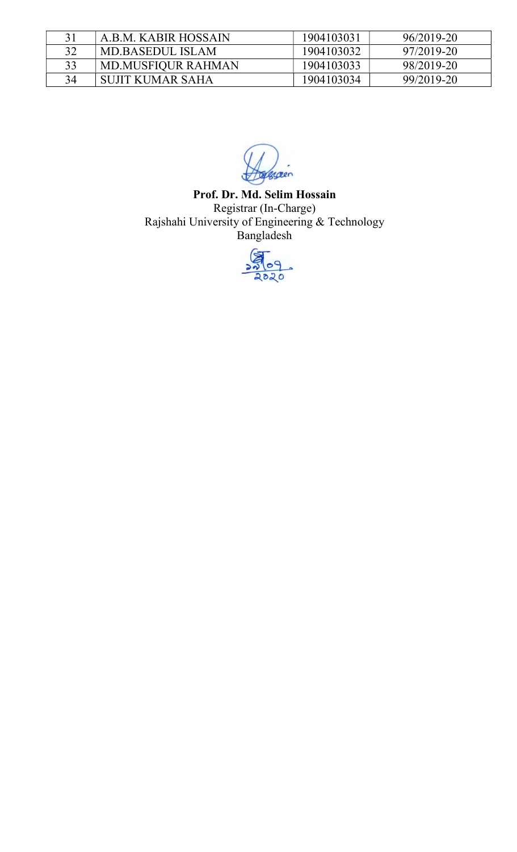| 31 | A.B.M. KABIR HOSSAIN      | 1904103031 | 96/2019-20 |
|----|---------------------------|------------|------------|
| 32 | MD.BASEDUL ISLAM          | 1904103032 | 97/2019-20 |
| 33 | <b>MD.MUSFIQUR RAHMAN</b> | 1904103033 | 98/2019-20 |
| 34 | SUJIT KUMAR SAHA          | 1904103034 | 99/2019-20 |

græn

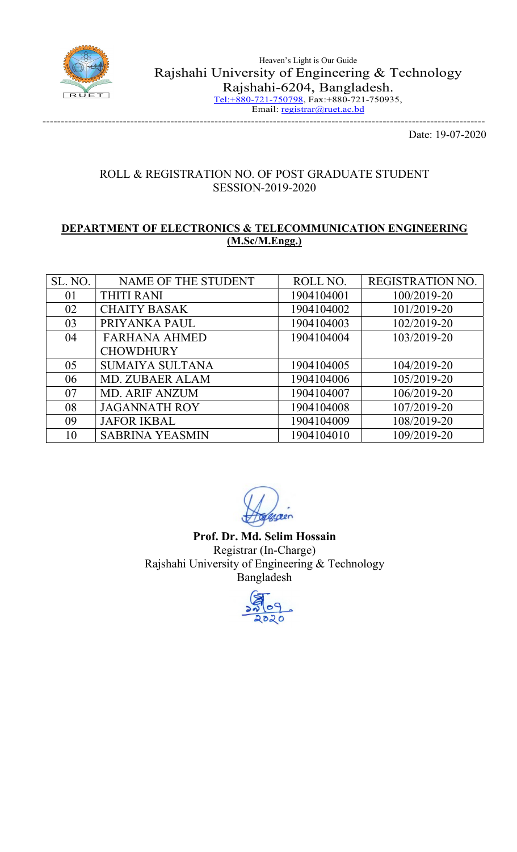

## ROLL & REGISTRATION NO. OF POST GRADUATE STUDENT SESSION-2019-2020

#### DEPARTMENT OF ELECTRONICS & TELECOMMUNICATION ENGINEERING (M.Sc/M.Engg.)

| SL. NO. | NAME OF THE STUDENT    | ROLL NO.   | <b>REGISTRATION NO.</b> |
|---------|------------------------|------------|-------------------------|
| 01      | <b>THITI RANI</b>      | 1904104001 | 100/2019-20             |
| 02      | <b>CHAITY BASAK</b>    | 1904104002 | 101/2019-20             |
| 03      | PRIYANKA PAUL          | 1904104003 | 102/2019-20             |
| 04      | <b>FARHANA AHMED</b>   | 1904104004 | 103/2019-20             |
|         | <b>CHOWDHURY</b>       |            |                         |
| 05      | <b>SUMAIYA SULTANA</b> | 1904104005 | 104/2019-20             |
| 06      | <b>MD. ZUBAER ALAM</b> | 1904104006 | 105/2019-20             |
| 07      | <b>MD. ARIF ANZUM</b>  | 1904104007 | 106/2019-20             |
| 08      | <b>JAGANNATH ROY</b>   | 1904104008 | 107/2019-20             |
| 09      | <b>JAFOR IKBAL</b>     | 1904104009 | 108/2019-20             |
| 10      | <b>SABRINA YEASMIN</b> | 1904104010 | 109/2019-20             |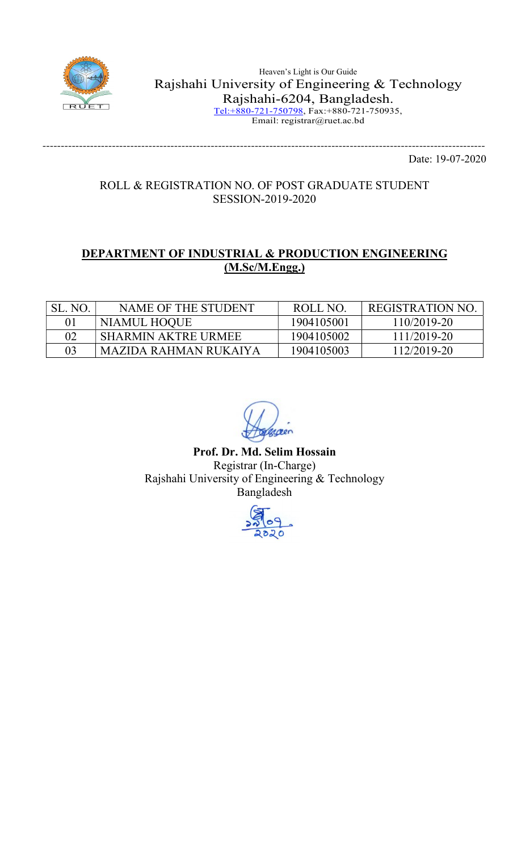

Heaven's Light is Our Guide Rajshahi University of Engineering & Technology Rajshahi-6204, Bangladesh. Tel:+880-721-750798, Fax:+880-721-750935, Email: registrar@ruet.ac.bd

> ------------------------------------------------------------------------------------------------------------------------- Date: 19-07-2020

### ROLL & REGISTRATION NO. OF POST GRADUATE STUDENT SESSION-2019-2020

## DEPARTMENT OF INDUSTRIAL & PRODUCTION ENGINEERING (M.Sc/M.Engg.)

| SL. NO. | NAME OF THE STUDENT        | ROLL NO.   | REGISTRATION NO. |
|---------|----------------------------|------------|------------------|
| 01      | NIAMUL HOQUE               | 1904105001 | 110/2019-20      |
| 02      | <b>SHARMIN AKTRE URMEE</b> | 1904105002 | 111/2019-20      |
| 03      | MAZIDA RAHMAN RUKAIYA      | 1904105003 | 112/2019-20      |

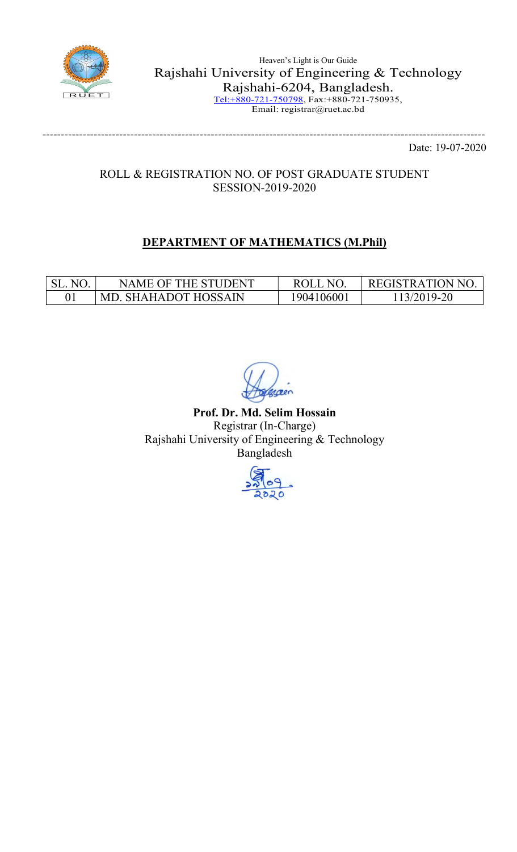

Heaven's Light is Our Guide Rajshahi University of Engineering & Technology Rajshahi-6204, Bangladesh. Tel:+880-721-750798, Fax:+880-721-750935, Email: registrar@ruet.ac.bd

> ------------------------------------------------------------------------------------------------------------------------- Date: 19-07-2020

## ROLL & REGISTRATION NO. OF POST GRADUATE STUDENT SESSION-2019-2020

# DEPARTMENT OF MATHEMATICS (M.Phil)

| $N\Gamma$ | NAME OF THE STUDENT    | NG         | 'REGISTRATION NO. |
|-----------|------------------------|------------|-------------------|
|           | ' MD. SHAHADOT HOSSAIN | 1904106001 | $13/2019-20$      |

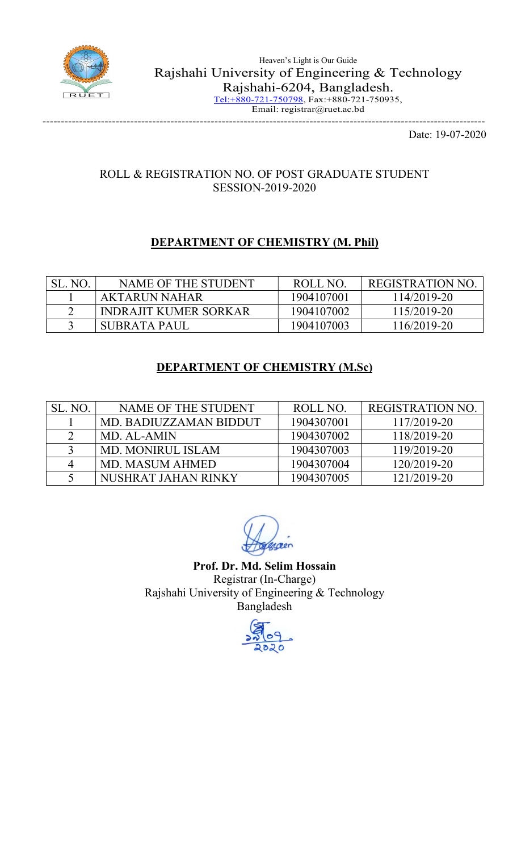

## ROLL & REGISTRATION NO. OF POST GRADUATE STUDENT SESSION-2019-2020

# DEPARTMENT OF CHEMISTRY (M. Phil)

| SL. NO. | NAME OF THE STUDENT   | ROLL NO.   | REGISTRATION NO |
|---------|-----------------------|------------|-----------------|
|         | AKTARUN NAHAR         | 1904107001 | 114/2019-20     |
|         | INDRAJIT KUMER SORKAR | 1904107002 | 115/2019-20     |
|         | SUBRATA PAUL          | 1904107003 | 116/2019-20     |

## DEPARTMENT OF CHEMISTRY (M.Sc)

| SL. NO. | NAME OF THE STUDENT      | ROLL NO.   | <b>REGISTRATION NO.</b> |
|---------|--------------------------|------------|-------------------------|
|         | MD. BADIUZZAMAN BIDDUT   | 1904307001 | 117/2019-20             |
|         | MD. AL-AMIN              | 1904307002 | 118/2019-20             |
|         | <b>MD. MONIRUL ISLAM</b> | 1904307003 | 119/2019-20             |
|         | MD. MASUM AHMED          | 1904307004 | 120/2019-20             |
|         | NUSHRAT JAHAN RINKY      | 1904307005 | 121/2019-20             |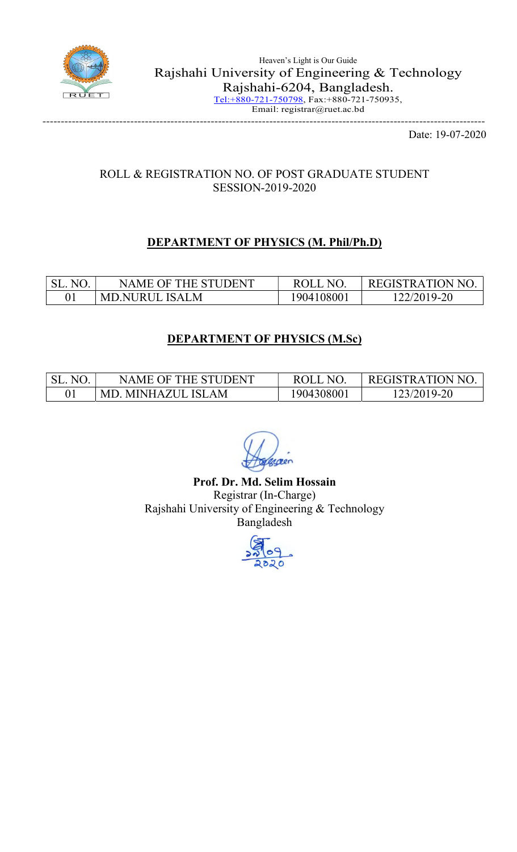

## ROLL & REGISTRATION NO. OF POST GRADUATE STUDENT SESSION-2019-2020

## DEPARTMENT OF PHYSICS (M. Phil/Ph.D)

| N <sub>O</sub><br>SL. | NAME OF THE STUDENT | ROLL NO   | REGISTRATION NO. |
|-----------------------|---------------------|-----------|------------------|
|                       | MD.NURUL ISALM      | 904108001 | 122/2019-20      |

## DEPARTMENT OF PHYSICS (M.Sc)

| N <sup>o</sup> | NAME OF THE STUDENT     | ROLL NO   | REGISTRATION NO. |
|----------------|-------------------------|-----------|------------------|
|                | . MINHAZUL ISLAM<br>MD. | 904308001 | 123/2019-20      |